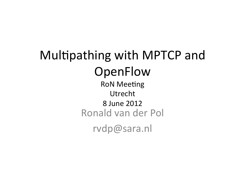## Multipathing with MPTCP and **OpenFlow**

**RoN Meeting** Utrecht 8 June 2012 Ronald van der Pol rvdp@sara.nl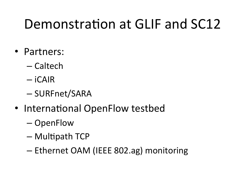## Demonstration at GLIF and SC12

- Partners:
	- Caltech
	- iCAIR
	- SURFnet/SARA
- International OpenFlow testbed
	- OpenFlow
	- $-$  Multipath TCP
	- Ethernet OAM (IEEE 802.ag) monitoring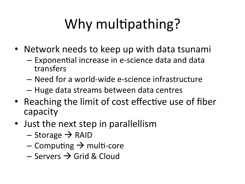# Why multipathing?

- Network needs to keep up with data tsunami
	- $-$  Exponential increase in e-science data and data transfers
	- Need for a world-wide e-science infrastructure
	- Huge data streams between data centres
- Reaching the limit of cost effective use of fiber capacity
- Just the next step in parallellism
	- $-$  Storage  $\rightarrow$  RAID
	- Computing  $\rightarrow$  multi-core
	- $-$  Servers  $\rightarrow$  Grid & Cloud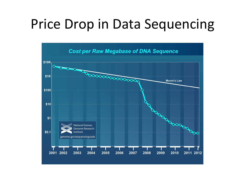### Price Drop in Data Sequencing

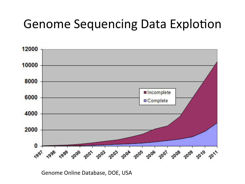#### Genome Sequencing Data Explotion



Genome Online Database, DOE, USA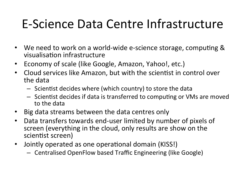#### E-Science Data Centre Infrastructure

- We need to work on a world-wide e-science storage, computing & visualisation infrastructure
- Economy of scale (like Google, Amazon, Yahoo!, etc.)
- Cloud services like Amazon, but with the scientist in control over the data
	- $-$  Scientist decides where (which country) to store the data
	- $-$  Scientist decides if data is transferred to computing or VMs are moved to the data
- Big data streams between the data centres only
- Data transfers towards end-user limited by number of pixels of screen (everything in the cloud, only results are show on the scientist screen)
- Jointly operated as one operational domain (KISS!)
	- Centralised OpenFlow based Traffic Engineering (like Google)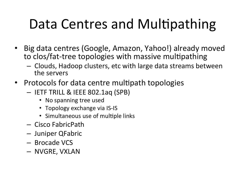## Data Centres and Multipathing

- Big data centres (Google, Amazon, Yahoo!) already moved to clos/fat-tree topologies with massive multipathing
	- $-$  Clouds, Hadoop clusters, etc with large data streams between the servers
- Protocols for data centre multipath topologies
	- IETF TRILL & IEEE 802.1aq (SPB)
		- No spanning tree used
		- Topology exchange via IS-IS
		- Simultaneous use of multiple links
	- Cisco FabricPath
	- Juniper QFabric
	- Brocade VCS
	- NVGRE, VXLAN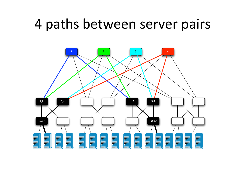#### 4 paths between server pairs

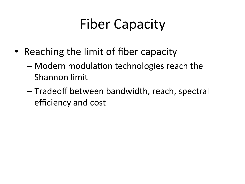## **Fiber Capacity**

- Reaching the limit of fiber capacity
	- $-$  Modern modulation technologies reach the Shannon limit
	- $-$  Tradeoff between bandwidth, reach, spectral efficiency and cost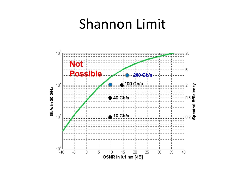#### Shannon Limit

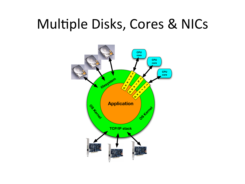### Multiple Disks, Cores & NICs

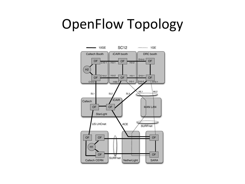#### OpenFlow Topology

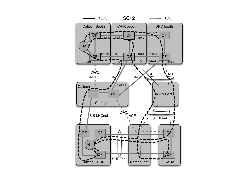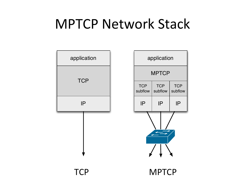### **MPTCP Network Stack**

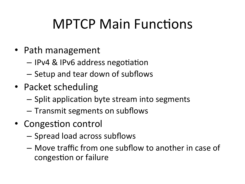## **MPTCP Main Functions**

- Path management
	- IPv4 & IPv6 address negotiation
	- $-$  Setup and tear down of subflows
- Packet scheduling
	- $-$  Split application byte stream into segments
	- $-$  Transmit segments on subflows
- Congestion control
	- Spread load across subflows
	- $-$  Move traffic from one subflow to another in case of congestion or failure